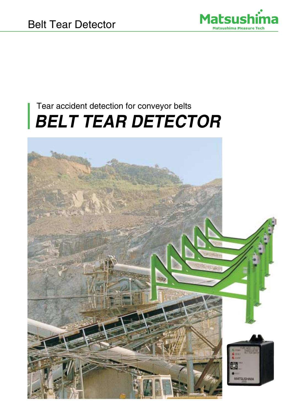

## Tear accident detection for conveyor belts **BELT TEAR DETECTOR**

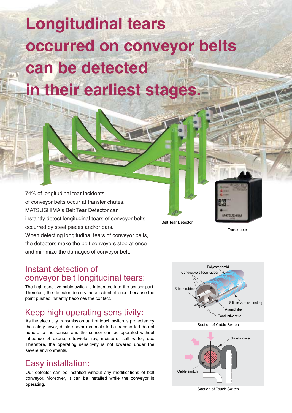# **Longitudinal tears occurred on conveyor belts can be detected in their earliest stages.**

74% of longitudinal tear incidents of conveyor belts occur at transfer chutes. MATSUSHIMA's Belt Tear Detector can instantly detect longitudinal tears of conveyor belts occurred by steel pieces and/or bars. When detecting longitudinal tears of conveyor belts, the detectors make the belt conveyors stop at once and minimize the damages of conveyor belt.

#### Instant detection of conveyor belt longitudinal tears:

The high sensitive cable switch is integrated into the sensor part. Therefore, the detector detects the accident at once, because the point pushed instantly becomes the contact.

## Keep high operating sensitivity:

As the electricity transmission part of touch switch is protected by the safety cover, dusts and/or materials to be transported do not adhere to the sensor and the sensor can be operated without influence of ozone, ultraviolet ray, moisture, salt water, etc. Therefore, the operating sensitivity is not lowered under the severe environments.

### Easy installation:

Our detector can be installed without any modifications of belt conveyor. Moreover, it can be installed while the conveyor is operating.



Belt Tear Detector

**Transducer** 

**METRI PELIKULA** 

Section of Touch Switch

Cable switch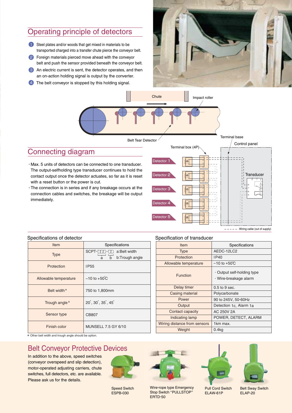#### Operating principle of detectors

- **1** Steel plates and/or woods that get mixed in materials to be transported charged into a transfer chute pierce the conveyor belt.
- 2 Foreign materials pierced move ahead with the conveyor belt and push the sensor provided beneath the conveyor belt.
- 8 An electric current is sent, the detector operates, and then an on-action holding signal is output by the converter.
- 4 The belt conveyor is stopped by this holding signal.





#### Connecting diagram

- Max. 5 units of detectors can be connected to one transducer. The output-selfholding type transducer continues to hold the contact output once the detector actuates, so far as it is reset with a reset button or the power is cut.
- The connection is in series and if any breakage occurs at the connection cables and switches, the breakage will be output immediately.



#### Specifications of detector

| Item                  | Specifications                                                                                  |  |  |  |  |
|-----------------------|-------------------------------------------------------------------------------------------------|--|--|--|--|
| <b>Type</b>           | SCPT- <b>No. 1.</b> a:Belt width<br>$\overrightarrow{a}$ $\overrightarrow{b}$<br>b:Trough angle |  |  |  |  |
| Protection            | IP <sub>55</sub>                                                                                |  |  |  |  |
| Allowable temperature | $-10$ to $+50^{\circ}$ C                                                                        |  |  |  |  |
| Belt width*           | 750 to 1,800mm                                                                                  |  |  |  |  |
| Trough angle*         | $20^{\circ}$ , $30^{\circ}$ , $35^{\circ}$ , $45^{\circ}$                                       |  |  |  |  |
| Sensor type           | CB807                                                                                           |  |  |  |  |
| Finish color          | <b>MUNSELL 7.5 GY 6/10</b>                                                                      |  |  |  |  |

#### Specification of transducer

| Item                         | Specifications                                      |  |  |  |
|------------------------------|-----------------------------------------------------|--|--|--|
| <b>Type</b>                  | AEDC-12LC2                                          |  |  |  |
| Protection                   | IP40                                                |  |  |  |
| Allowable temperature        | $-10$ to $+50^{\circ}$ C                            |  |  |  |
| Function                     | · Output self-holding type<br>· Wire-breakage alarm |  |  |  |
| Delay timer                  | $0.5$ to 9 sec.                                     |  |  |  |
| Casing material              | Polycarbonate                                       |  |  |  |
| Power                        | 90 to 245V, 50-60Hz                                 |  |  |  |
| Output                       | Detection 1c, Alarm 1a                              |  |  |  |
| Contact capacity             | AC 250V 2A                                          |  |  |  |
| Indicating lamp              | POWER, DETECT, ALARM                                |  |  |  |
| Wiring distance from sensors | 1 <sub>km</sub> max.                                |  |  |  |
| Weight                       | 0.4kg                                               |  |  |  |

\* Other belt width and trough angle should be option.

#### Belt Conveyor Protective Devices

In addition to the above, speed switches (conveyor overspeed and slip detection), motor-operated adjusting carriers, chute switches, full detectors, etc. are available. Please ask us for the details.



Speed Switch ESPB-030



ERTD-50

Wire-rope type Emergency Stop Switch "PULLSTOP" Pull Cord Switch ELAW-61P



Belt Sway Switch ELAP-20